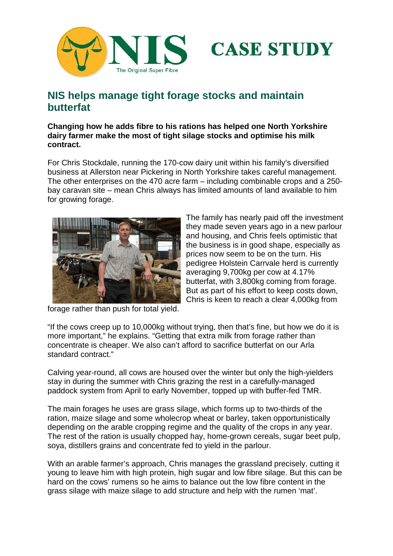



## **NIS helps manage tight forage stocks and maintain butterfat**

**Changing how he adds fibre to his rations has helped one North Yorkshire dairy farmer make the most of tight silage stocks and optimise his milk contract.** 

For Chris Stockdale, running the 170-cow dairy unit within his family's diversified business at Allerston near Pickering in North Yorkshire takes careful management. The other enterprises on the 470 acre farm – including combinable crops and a 250 bay caravan site – mean Chris always has limited amounts of land available to him for growing forage.



The family has nearly paid off the investment they made seven years ago in a new parlour and housing, and Chris feels optimistic that the business is in good shape, especially as prices now seem to be on the turn. His pedigree Holstein Carrvale herd is currently averaging 9,700kg per cow at 4.17% butterfat, with 3,800kg coming from forage. But as part of his effort to keep costs down, Chris is keen to reach a clear 4,000kg from

forage rather than push for total yield.

"If the cows creep up to 10,000kg without trying, then that's fine, but how we do it is more important," he explains. "Getting that extra milk from forage rather than concentrate is cheaper. We also can't afford to sacrifice butterfat on our Arla standard contract."

Calving year-round, all cows are housed over the winter but only the high-yielders stay in during the summer with Chris grazing the rest in a carefully-managed paddock system from April to early November, topped up with buffer-fed TMR.

The main forages he uses are grass silage, which forms up to two-thirds of the ration, maize silage and some wholecrop wheat or barley, taken opportunistically depending on the arable cropping regime and the quality of the crops in any year. The rest of the ration is usually chopped hay, home-grown cereals, sugar beet pulp, soya, distillers grains and concentrate fed to yield in the parlour.

With an arable farmer's approach, Chris manages the grassland precisely, cutting it young to leave him with high protein, high sugar and low fibre silage. But this can be hard on the cows' rumens so he aims to balance out the low fibre content in the grass silage with maize silage to add structure and help with the rumen 'mat'.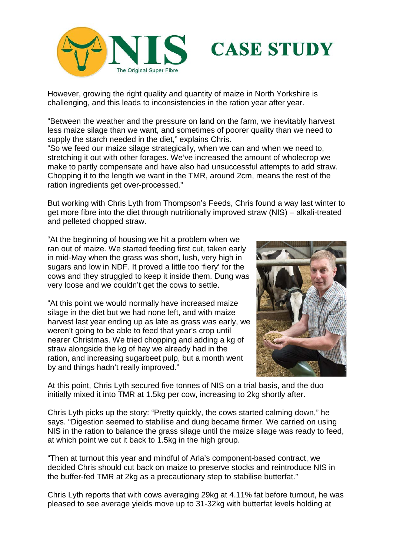



However, growing the right quality and quantity of maize in North Yorkshire is challenging, and this leads to inconsistencies in the ration year after year.

"Between the weather and the pressure on land on the farm, we inevitably harvest less maize silage than we want, and sometimes of poorer quality than we need to supply the starch needed in the diet," explains Chris.

"So we feed our maize silage strategically, when we can and when we need to, stretching it out with other forages. We've increased the amount of wholecrop we make to partly compensate and have also had unsuccessful attempts to add straw. Chopping it to the length we want in the TMR, around 2cm, means the rest of the ration ingredients get over-processed."

But working with Chris Lyth from Thompson's Feeds, Chris found a way last winter to get more fibre into the diet through nutritionally improved straw (NIS) – alkali-treated and pelleted chopped straw.

"At the beginning of housing we hit a problem when we ran out of maize. We started feeding first cut, taken early in mid-May when the grass was short, lush, very high in sugars and low in NDF. It proved a little too 'fiery' for the cows and they struggled to keep it inside them. Dung was very loose and we couldn't get the cows to settle.

"At this point we would normally have increased maize silage in the diet but we had none left, and with maize harvest last year ending up as late as grass was early, we weren't going to be able to feed that year's crop until nearer Christmas. We tried chopping and adding a kg of straw alongside the kg of hay we already had in the ration, and increasing sugarbeet pulp, but a month went by and things hadn't really improved."



At this point, Chris Lyth secured five tonnes of NIS on a trial basis, and the duo initially mixed it into TMR at 1.5kg per cow, increasing to 2kg shortly after.

Chris Lyth picks up the story: "Pretty quickly, the cows started calming down," he says. "Digestion seemed to stabilise and dung became firmer. We carried on using NIS in the ration to balance the grass silage until the maize silage was ready to feed, at which point we cut it back to 1.5kg in the high group.

"Then at turnout this year and mindful of Arla's component-based contract, we decided Chris should cut back on maize to preserve stocks and reintroduce NIS in the buffer-fed TMR at 2kg as a precautionary step to stabilise butterfat."

Chris Lyth reports that with cows averaging 29kg at 4.11% fat before turnout, he was pleased to see average yields move up to 31-32kg with butterfat levels holding at